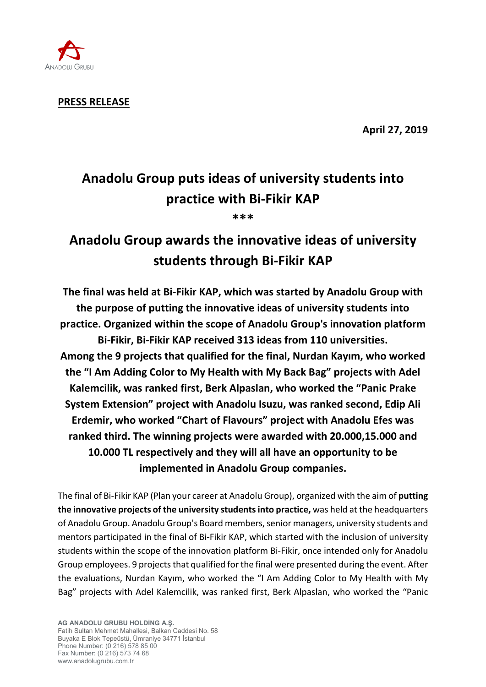

**PRESS RELEASE**

**April 27, 2019**

## **Anadolu Group puts ideas of university students into practice with Bi-Fikir KAP \*\*\***

# **Anadolu Group awards the innovative ideas of university students through Bi-Fikir KAP**

**The final was held at Bi-Fikir KAP, which was started by Anadolu Group with the purpose of putting the innovative ideas of university students into practice. Organized within the scope of Anadolu Group's innovation platform Bi-Fikir, Bi-Fikir KAP received 313 ideas from 110 universities. Among the 9 projects that qualified for the final, Nurdan Kayım, who worked the "I Am Adding Color to My Health with My Back Bag" projects with Adel Kalemcilik, was ranked first, Berk Alpaslan, who worked the "Panic Prake System Extension" project with Anadolu Isuzu, was ranked second, Edip Ali Erdemir, who worked "Chart of Flavours" project with Anadolu Efes was ranked third. The winning projects were awarded with 20.000,15.000 and 10.000 TL respectively and they will all have an opportunity to be implemented in Anadolu Group companies.**

The final of Bi-Fikir KAP (Plan your career at Anadolu Group), organized with the aim of **putting the innovative projects of the university students into practice,** was held at the headquarters of Anadolu Group. Anadolu Group's Board members, senior managers, university students and mentors participated in the final of Bi-Fikir KAP, which started with the inclusion of university students within the scope of the innovation platform Bi-Fikir, once intended only for Anadolu Group employees. 9 projects that qualified for the final were presented during the event. After the evaluations, Nurdan Kayım, who worked the "I Am Adding Color to My Health with My Bag" projects with Adel Kalemcilik, was ranked first, Berk Alpaslan, who worked the "Panic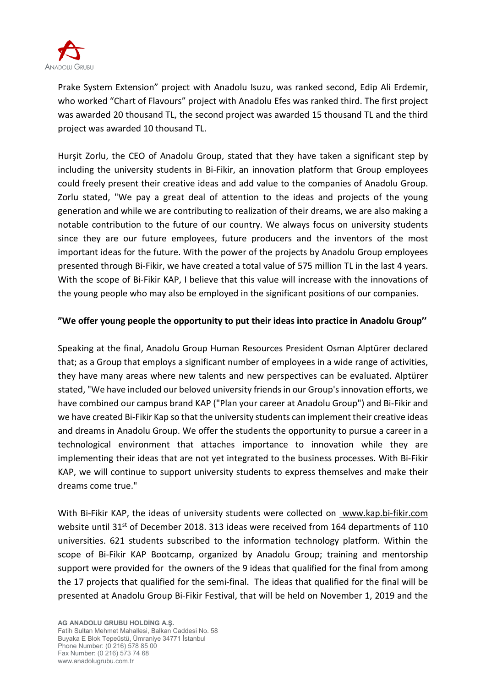

Prake System Extension" project with Anadolu Isuzu, was ranked second, Edip Ali Erdemir, who worked "Chart of Flavours" project with Anadolu Efes was ranked third. The first project was awarded 20 thousand TL, the second project was awarded 15 thousand TL and the third project was awarded 10 thousand TL.

Hurşit Zorlu, the CEO of Anadolu Group, stated that they have taken a significant step by including the university students in Bi-Fikir, an innovation platform that Group employees could freely present their creative ideas and add value to the companies of Anadolu Group. Zorlu stated, "We pay a great deal of attention to the ideas and projects of the young generation and while we are contributing to realization of their dreams, we are also making a notable contribution to the future of our country. We always focus on university students since they are our future employees, future producers and the inventors of the most important ideas for the future. With the power of the projects by Anadolu Group employees presented through Bi-Fikir, we have created a total value of 575 million TL in the last 4 years. With the scope of Bi-Fikir KAP, I believe that this value will increase with the innovations of the young people who may also be employed in the significant positions of our companies.

### **"We offer young people the opportunity to put their ideas into practice in Anadolu Group''**

Speaking at the final, Anadolu Group Human Resources President Osman Alptürer declared that; as a Group that employs a significant number of employees in a wide range of activities, they have many areas where new talents and new perspectives can be evaluated. Alptürer stated, "We have included our beloved university friends in our Group's innovation efforts, we have combined our campus brand KAP ("Plan your career at Anadolu Group") and Bi-Fikir and we have created Bi-Fikir Kap so that the university students can implement their creative ideas and dreams in Anadolu Group. We offer the students the opportunity to pursue a career in a technological environment that attaches importance to innovation while they are implementing their ideas that are not yet integrated to the business processes. With Bi-Fikir KAP, we will continue to support university students to express themselves and make their dreams come true."

With Bi-Fikir KAP, the ideas of university students were collected on [www.kap.bi-fikir.com](http://www.kap.bi-fikir.com/) website until 31<sup>st</sup> of December 2018. 313 ideas were received from 164 departments of 110 universities. 621 students subscribed to the information technology platform. Within the scope of Bi-Fikir KAP Bootcamp, organized by Anadolu Group; training and mentorship support were provided for the owners of the 9 ideas that qualified for the final from among the 17 projects that qualified for the semi-final. The ideas that qualified for the final will be presented at Anadolu Group Bi-Fikir Festival, that will be held on November 1, 2019 and the